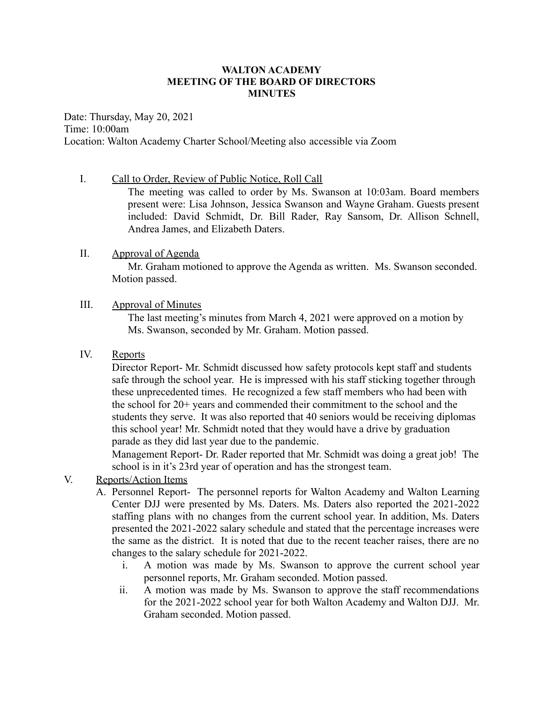## **WALTON ACADEMY MEETING OF THE BOARD OF DIRECTORS MINUTES**

Date: Thursday, May 20, 2021 Time: 10:00am Location: Walton Academy Charter School/Meeting also accessible via Zoom

I. Call to Order, Review of Public Notice, Roll Call

The meeting was called to order by Ms. Swanson at 10:03am. Board members present were: Lisa Johnson, Jessica Swanson and Wayne Graham. Guests present included: David Schmidt, Dr. Bill Rader, Ray Sansom, Dr. Allison Schnell, Andrea James, and Elizabeth Daters.

## II. Approval of Agenda

Mr. Graham motioned to approve the Agenda as written. Ms. Swanson seconded. Motion passed.

## III. Approval of Minutes

The last meeting's minutes from March 4, 2021 were approved on a motion by Ms. Swanson, seconded by Mr. Graham. Motion passed.

## IV. Reports

Director Report- Mr. Schmidt discussed how safety protocols kept staff and students safe through the school year. He is impressed with his staff sticking together through these unprecedented times. He recognized a few staff members who had been with the school for 20+ years and commended their commitment to the school and the students they serve. It was also reported that 40 seniors would be receiving diplomas this school year! Mr. Schmidt noted that they would have a drive by graduation parade as they did last year due to the pandemic.

Management Report- Dr. Rader reported that Mr. Schmidt was doing a great job! The school is in it's 23rd year of operation and has the strongest team.

# V. Reports/Action Items

- A. Personnel Report- The personnel reports for Walton Academy and Walton Learning Center DJJ were presented by Ms. Daters. Ms. Daters also reported the 2021-2022 staffing plans with no changes from the current school year. In addition, Ms. Daters presented the 2021-2022 salary schedule and stated that the percentage increases were the same as the district. It is noted that due to the recent teacher raises, there are no changes to the salary schedule for 2021-2022.
	- i. A motion was made by Ms. Swanson to approve the current school year personnel reports, Mr. Graham seconded. Motion passed.
	- ii. A motion was made by Ms. Swanson to approve the staff recommendations for the 2021-2022 school year for both Walton Academy and Walton DJJ. Mr. Graham seconded. Motion passed.